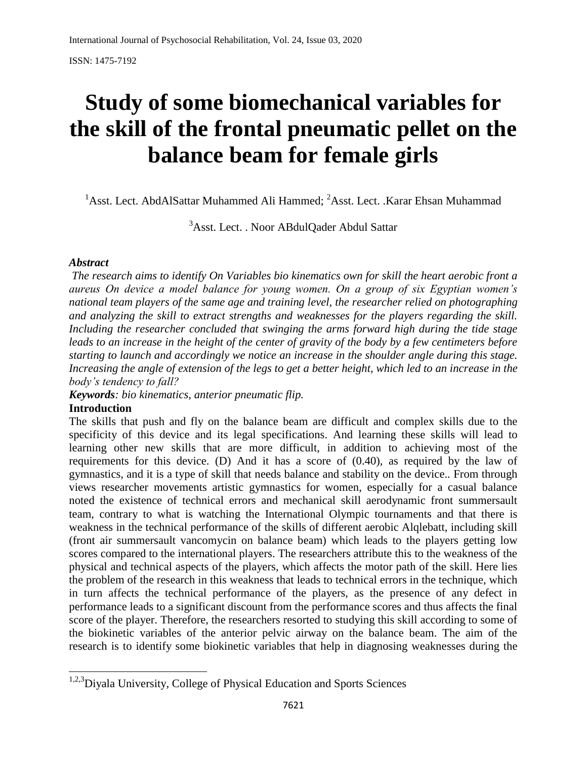# **Study of some biomechanical variables for the skill of the frontal pneumatic pellet on the balance beam for female girls**

<sup>1</sup>Asst. Lect. AbdAlSattar Muhammed Ali Hammed; <sup>2</sup>Asst. Lect. .Karar Ehsan Muhammad

<sup>3</sup>Asst. Lect. . Noor ABdulQader Abdul Sattar

#### *Abstract*

*The research aims to identify On Variables bio kinematics own for skill the heart aerobic front a aureus On device a model balance for young women. On a group of six Egyptian women's national team players of the same age and training level, the researcher relied on photographing and analyzing the skill to extract strengths and weaknesses for the players regarding the skill. Including the researcher concluded that swinging the arms forward high during the tide stage leads to an increase in the height of the center of gravity of the body by a few centimeters before starting to launch and accordingly we notice an increase in the shoulder angle during this stage. Increasing the angle of extension of the legs to get a better height, which led to an increase in the body's tendency to fall?*

*Keywords: bio kinematics, anterior pneumatic flip.*

#### **Introduction**

The skills that push and fly on the balance beam are difficult and complex skills due to the specificity of this device and its legal specifications. And learning these skills will lead to learning other new skills that are more difficult, in addition to achieving most of the requirements for this device. (D) And it has a score of (0.40), as required by the law of gymnastics, and it is a type of skill that needs balance and stability on the device.. From through views researcher movements artistic gymnastics for women, especially for a casual balance noted the existence of technical errors and mechanical skill aerodynamic front summersault team, contrary to what is watching the International Olympic tournaments and that there is weakness in the technical performance of the skills of different aerobic Alqlebatt, including skill (front air summersault vancomycin on balance beam) which leads to the players getting low scores compared to the international players. The researchers attribute this to the weakness of the physical and technical aspects of the players, which affects the motor path of the skill. Here lies the problem of the research in this weakness that leads to technical errors in the technique, which in turn affects the technical performance of the players, as the presence of any defect in performance leads to a significant discount from the performance scores and thus affects the final score of the player. Therefore, the researchers resorted to studying this skill according to some of the biokinetic variables of the anterior pelvic airway on the balance beam. The aim of the research is to identify some biokinetic variables that help in diagnosing weaknesses during the

 $\overline{\phantom{a}}$ <sup>1,2,3</sup>Diyala University, College of Physical Education and Sports Sciences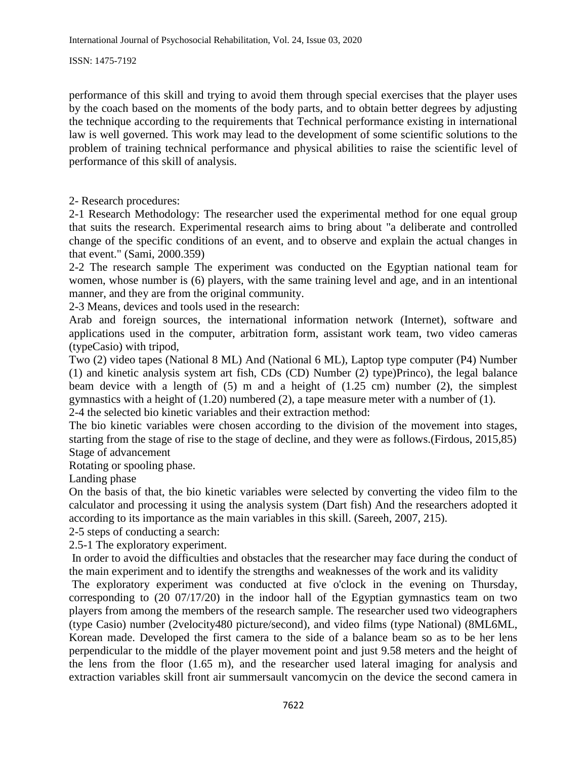performance of this skill and trying to avoid them through special exercises that the player uses by the coach based on the moments of the body parts, and to obtain better degrees by adjusting the technique according to the requirements that Technical performance existing in international law is well governed. This work may lead to the development of some scientific solutions to the problem of training technical performance and physical abilities to raise the scientific level of performance of this skill of analysis.

2- Research procedures:

2-1 Research Methodology: The researcher used the experimental method for one equal group that suits the research. Experimental research aims to bring about "a deliberate and controlled change of the specific conditions of an event, and to observe and explain the actual changes in that event." (Sami, 2000.359)

2-2 The research sample The experiment was conducted on the Egyptian national team for women, whose number is (6) players, with the same training level and age, and in an intentional manner, and they are from the original community.

2-3 Means, devices and tools used in the research:

Arab and foreign sources, the international information network (Internet), software and applications used in the computer, arbitration form, assistant work team, two video cameras (typeCasio) with tripod,

Two (2) video tapes (National 8 ML) And (National 6 ML), Laptop type computer (P4) Number (1) and kinetic analysis system art fish, CDs (CD) Number (2) type)Princo), the legal balance beam device with a length of  $(5)$  m and a height of  $(1.25 \text{ cm})$  number  $(2)$ , the simplest gymnastics with a height of (1.20) numbered (2), a tape measure meter with a number of (1). 2-4 the selected bio kinetic variables and their extraction method:

The bio kinetic variables were chosen according to the division of the movement into stages, starting from the stage of rise to the stage of decline, and they were as follows.(Firdous, 2015,85) Stage of advancement

Rotating or spooling phase.

Landing phase

On the basis of that, the bio kinetic variables were selected by converting the video film to the calculator and processing it using the analysis system (Dart fish) And the researchers adopted it according to its importance as the main variables in this skill. (Sareeh, 2007, 215).

2-5 steps of conducting a search:

2.5-1 The exploratory experiment.

In order to avoid the difficulties and obstacles that the researcher may face during the conduct of the main experiment and to identify the strengths and weaknesses of the work and its validity

The exploratory experiment was conducted at five o'clock in the evening on Thursday, corresponding to (20 07/17/20) in the indoor hall of the Egyptian gymnastics team on two players from among the members of the research sample. The researcher used two videographers (type Casio) number (2velocity480 picture/second), and video films (type National) (8ML6ML, Korean made. Developed the first camera to the side of a balance beam so as to be her lens perpendicular to the middle of the player movement point and just 9.58 meters and the height of the lens from the floor (1.65 m), and the researcher used lateral imaging for analysis and extraction variables skill front air summersault vancomycin on the device the second camera in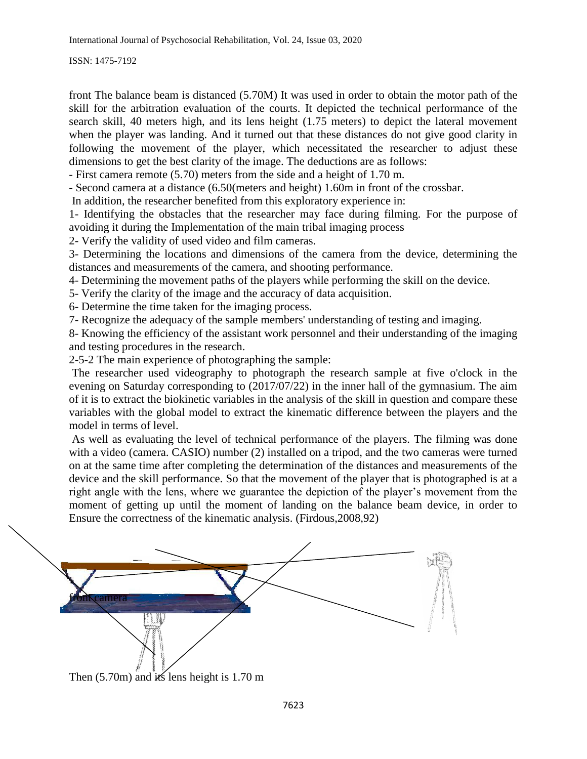front The balance beam is distanced (5.70M) It was used in order to obtain the motor path of the skill for the arbitration evaluation of the courts. It depicted the technical performance of the search skill, 40 meters high, and its lens height (1.75 meters) to depict the lateral movement when the player was landing. And it turned out that these distances do not give good clarity in following the movement of the player, which necessitated the researcher to adjust these dimensions to get the best clarity of the image. The deductions are as follows:

- First camera remote (5.70) meters from the side and a height of 1.70 m.

- Second camera at a distance (6.50(meters and height) 1.60m in front of the crossbar.

In addition, the researcher benefited from this exploratory experience in:

1- Identifying the obstacles that the researcher may face during filming. For the purpose of avoiding it during the Implementation of the main tribal imaging process

2- Verify the validity of used video and film cameras.

3- Determining the locations and dimensions of the camera from the device, determining the distances and measurements of the camera, and shooting performance.

4- Determining the movement paths of the players while performing the skill on the device.

5- Verify the clarity of the image and the accuracy of data acquisition.

6- Determine the time taken for the imaging process.

7- Recognize the adequacy of the sample members' understanding of testing and imaging.

8- Knowing the efficiency of the assistant work personnel and their understanding of the imaging and testing procedures in the research.

2-5-2 The main experience of photographing the sample:

The researcher used videography to photograph the research sample at five o'clock in the evening on Saturday corresponding to (2017/07/22) in the inner hall of the gymnasium. The aim of it is to extract the biokinetic variables in the analysis of the skill in question and compare these variables with the global model to extract the kinematic difference between the players and the model in terms of level.

As well as evaluating the level of technical performance of the players. The filming was done with a video (camera. CASIO) number (2) installed on a tripod, and the two cameras were turned on at the same time after completing the determination of the distances and measurements of the device and the skill performance. So that the movement of the player that is photographed is at a right angle with the lens, where we guarantee the depiction of the player's movement from the moment of getting up until the moment of landing on the balance beam device, in order to Ensure the correctness of the kinematic analysis. (Firdous,2008,92)

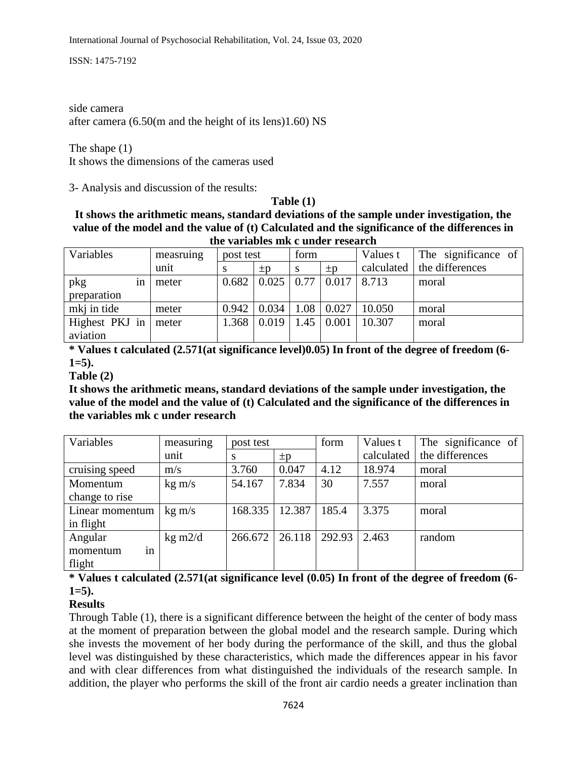side camera after camera (6.50(m and the height of its lens)1.60) NS

The shape (1) It shows the dimensions of the cameras used

3- Analysis and discussion of the results:

**Table (1)**

**It shows the arithmetic means, standard deviations of the sample under investigation, the value of the model and the value of (t) Calculated and the significance of the differences in the variables mk c under research**

| Variables      | measruing | post test |         | form |         | Values t   | The significance of |
|----------------|-----------|-----------|---------|------|---------|------------|---------------------|
|                | unit      |           | $\pm p$ | S    | $\pm p$ | calculated | the differences     |
| pkg<br>1n      | meter     | 0.682     | 0.025   | 0.77 | 0.017   | 8.713      | moral               |
| preparation    |           |           |         |      |         |            |                     |
| mkj in tide    | meter     | 0.942     | 0.034   | 1.08 | 0.027   | 10.050     | moral               |
| Highest PKJ in | meter     | 1.368     | 0.019   | 1.45 | 0.001   | 10.307     | moral               |
| aviation       |           |           |         |      |         |            |                     |

**\* Values t calculated (2.571(at significance level)0.05) In front of the degree of freedom (6- 1=5).**

**Table (2)**

**It shows the arithmetic means, standard deviations of the sample under investigation, the value of the model and the value of (t) Calculated and the significance of the differences in the variables mk c under research**

| Variables       | measuring          | post test |         | form   | Values t   | The significance of |
|-----------------|--------------------|-----------|---------|--------|------------|---------------------|
|                 | unit               | S         | $\pm p$ |        | calculated | the differences     |
| cruising speed  | m/s                | 3.760     | 0.047   | 4.12   | 18.974     | moral               |
| Momentum        | $kg \, \text{m/s}$ | 54.167    | 7.834   | 30     | 7.557      | moral               |
| change to rise  |                    |           |         |        |            |                     |
| Linear momentum | $kg \, \text{m/s}$ | 168.335   | 12.387  | 185.4  | 3.375      | moral               |
| in flight       |                    |           |         |        |            |                     |
| Angular         | $kg \text{ m}$ 2/d | 266.672   | 26.118  | 292.93 | 2.463      | random              |
| in<br>momentum  |                    |           |         |        |            |                     |
| flight          |                    |           |         |        |            |                     |

## **\* Values t calculated (2.571(at significance level (0.05) In front of the degree of freedom (6- 1=5).**

### **Results**

Through Table (1), there is a significant difference between the height of the center of body mass at the moment of preparation between the global model and the research sample. During which she invests the movement of her body during the performance of the skill, and thus the global level was distinguished by these characteristics, which made the differences appear in his favor and with clear differences from what distinguished the individuals of the research sample. In addition, the player who performs the skill of the front air cardio needs a greater inclination than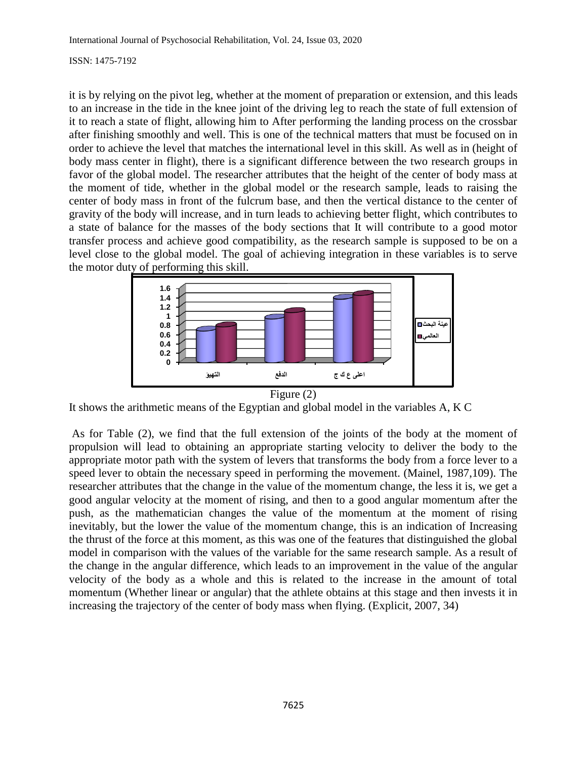it is by relying on the pivot leg, whether at the moment of preparation or extension, and this leads to an increase in the tide in the knee joint of the driving leg to reach the state of full extension of it to reach a state of flight, allowing him to After performing the landing process on the crossbar after finishing smoothly and well. This is one of the technical matters that must be focused on in order to achieve the level that matches the international level in this skill. As well as in (height of body mass center in flight), there is a significant difference between the two research groups in favor of the global model. The researcher attributes that the height of the center of body mass at the moment of tide, whether in the global model or the research sample, leads to raising the center of body mass in front of the fulcrum base, and then the vertical distance to the center of gravity of the body will increase, and in turn leads to achieving better flight, which contributes to a state of balance for the masses of the body sections that It will contribute to a good motor transfer process and achieve good compatibility, as the research sample is supposed to be on a level close to the global model. The goal of achieving integration in these variables is to serve the motor duty of performing this skill.



It shows the arithmetic means of the Egyptian and global model in the variables A, K C

As for Table (2), we find that the full extension of the joints of the body at the moment of propulsion will lead to obtaining an appropriate starting velocity to deliver the body to the appropriate motor path with the system of levers that transforms the body from a force lever to a speed lever to obtain the necessary speed in performing the movement. (Mainel, 1987,109). The researcher attributes that the change in the value of the momentum change, the less it is, we get a good angular velocity at the moment of rising, and then to a good angular momentum after the push, as the mathematician changes the value of the momentum at the moment of rising inevitably, but the lower the value of the momentum change, this is an indication of Increasing the thrust of the force at this moment, as this was one of the features that distinguished the global model in comparison with the values of the variable for the same research sample. As a result of the change in the angular difference, which leads to an improvement in the value of the angular velocity of the body as a whole and this is related to the increase in the amount of total momentum (Whether linear or angular) that the athlete obtains at this stage and then invests it in increasing the trajectory of the center of body mass when flying. (Explicit, 2007, 34)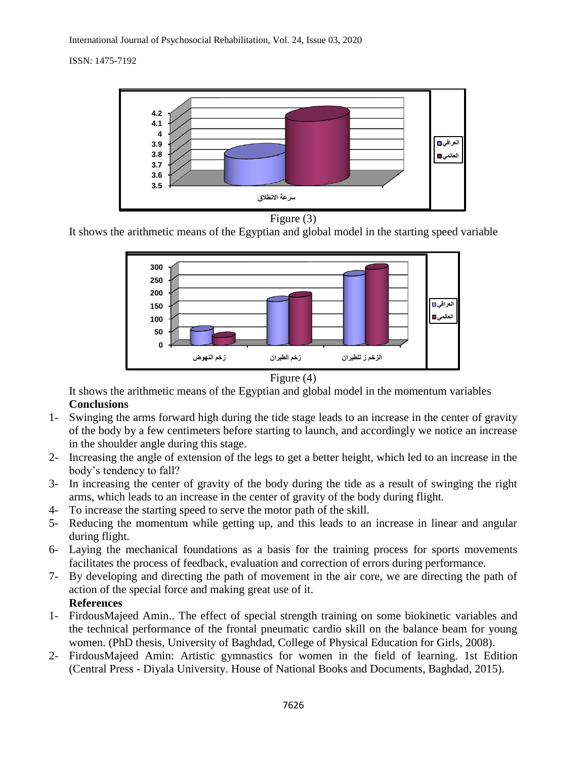

Figure (3)

It shows the arithmetic means of the Egyptian and global model in the starting speed variable



Figure (4)

It shows the arithmetic means of the Egyptian and global model in the momentum variables **Conclusions**

- 1- Swinging the arms forward high during the tide stage leads to an increase in the center of gravity of the body by a few centimeters before starting to launch, and accordingly we notice an increase in the shoulder angle during this stage.
- 2- Increasing the angle of extension of the legs to get a better height, which led to an increase in the body's tendency to fall?
- 3- In increasing the center of gravity of the body during the tide as a result of swinging the right arms, which leads to an increase in the center of gravity of the body during flight.
- 4- To increase the starting speed to serve the motor path of the skill.
- 5- Reducing the momentum while getting up, and this leads to an increase in linear and angular during flight.
- 6- Laying the mechanical foundations as a basis for the training process for sports movements facilitates the process of feedback, evaluation and correction of errors during performance.
- 7- By developing and directing the path of movement in the air core, we are directing the path of action of the special force and making great use of it. **References**
- 1- FirdousMajeed Amin.. The effect of special strength training on some biokinetic variables and the technical performance of the frontal pneumatic cardio skill on the balance beam for young women. (PhD thesis, University of Baghdad, College of Physical Education for Girls, 2008).
- 2- FirdousMajeed Amin: Artistic gymnastics for women in the field of learning. 1st Edition (Central Press - Diyala University. House of National Books and Documents, Baghdad, 2015).